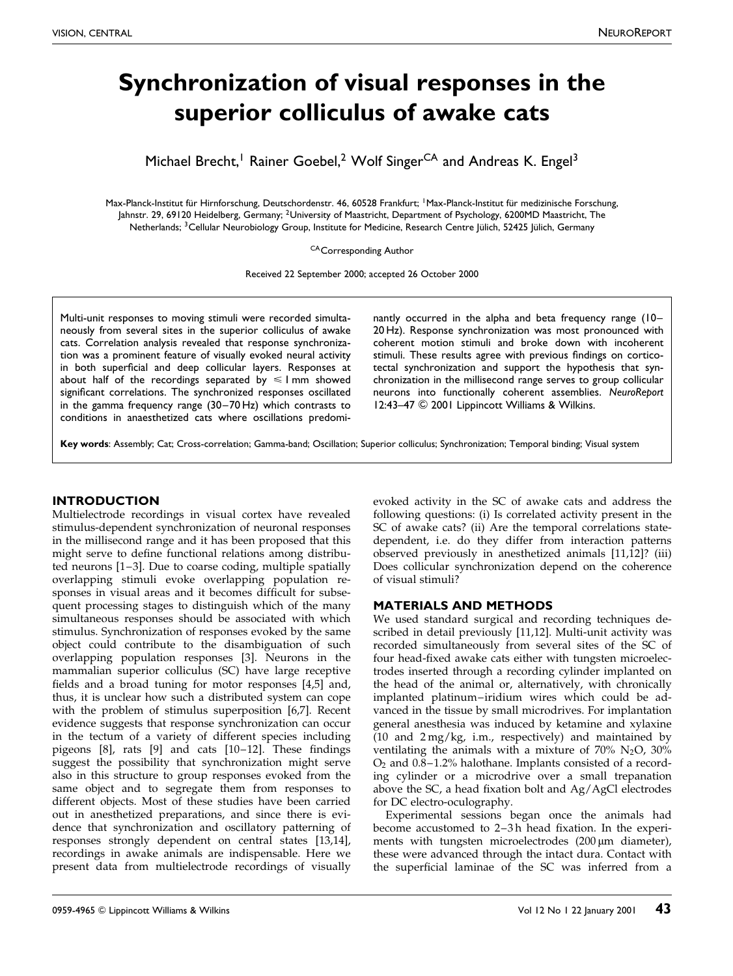# Synchronization of visual responses in the superior colliculus of awake cats

Michael Brecht,<sup>1</sup> Rainer Goebel,<sup>2</sup> Wolf Singer<sup>CA</sup> and Andreas K. Engel<sup>3</sup>

Max-Planck-Institut für Hirnforschung, Deutschordenstr. 46, 60528 Frankfurt; <sup>1</sup>Max-Planck-Institut für medizinische Forschung, Jahnstr. 29, 69120 Heidelberg, Germany; <sup>2</sup>University of Maastricht, Department of Psychology, 6200MD Maastricht, The Netherlands; <sup>3</sup>Cellular Neurobiology Group, Institute for Medicine, Research Centre Jülich, 52425 Jülich, Germany

CA Corresponding Author

Received 22 September 2000; accepted 26 October 2000

Multi-unit responses to moving stimuli were recorded simultaneously from several sites in the superior colliculus of awake cats. Correlation analysis revealed that response synchronization was a prominent feature of visually evoked neural activity in both superficial and deep collicular layers. Responses at about half of the recordings separated by  $\leq 1$  mm showed significant correlations. The synchronized responses oscillated in the gamma frequency range  $(30-70 \, \text{Hz})$  which contrasts to conditions in anaesthetized cats where oscillations predominantly occurred in the alpha and beta frequency range  $(10-$ 20 Hz). Response synchronization was most pronounced with coherent motion stimuli and broke down with incoherent stimuli. These results agree with previous findings on corticotectal synchronization and support the hypothesis that synchronization in the millisecond range serves to group collicular neurons into functionally coherent assemblies. NeuroReport 12:43-47 © 2001 Lippincott Williams & Wilkins.

Key words: Assembly; Cat; Cross-correlation; Gamma-band; Oscillation; Superior colliculus; Synchronization; Temporal binding; Visual system

### **INTRODUCTION**

Multielectrode recordings in visual cortex have revealed stimulus-dependent synchronization of neuronal responses in the millisecond range and it has been proposed that this might serve to define functional relations among distributed neurons  $[1-3]$ . Due to coarse coding, multiple spatially overlapping stimuli evoke overlapping population responses in visual areas and it becomes difficult for subsequent processing stages to distinguish which of the many simultaneous responses should be associated with which stimulus. Synchronization of responses evoked by the same object could contribute to the disambiguation of such overlapping population responses [\[3\].](#page-4-0) Neurons in the mammalian superior colliculus (SC) have large receptive fields and a broad tuning for motor responses [\[4,5\]](#page-4-0) and, thus, it is unclear how such a distributed system can cope with the problem of stimulus superposition [\[6,7\].](#page-4-0) Recent evidence suggests that response synchronization can occur in the tectum of a variety of different species including pigeons  $[8]$ , rats  $[9]$  and cats  $[10-12]$ . These findings suggest the possibility that synchronization might serve also in this structure to group responses evoked from the same object and to segregate them from responses to different objects. Most of these studies have been carried out in anesthetized preparations, and since there is evidence that synchronization and oscillatory patterning of responses strongly dependent on central states [\[13,14\],](#page-4-0) recordings in awake animals are indispensable. Here we present data from multielectrode recordings of visually evoked activity in the SC of awake cats and address the following questions: (i) Is correlated activity present in the SC of awake cats? (ii) Are the temporal correlations statedependent, i.e. do they differ from interaction patterns observed previously in anesthetized animals [\[11,12\]?](#page-4-0) (iii) Does collicular synchronization depend on the coherence of visual stimuli?

# MATERIALS AND METHODS

We used standard surgical and recording techniques described in detail previously [\[11,12\].](#page-4-0) Multi-unit activity was recorded simultaneously from several sites of the SC of four head-fixed awake cats either with tungsten microelectrodes inserted through a recording cylinder implanted on the head of the animal or, alternatively, with chronically implanted platinum-iridium wires which could be advanced in the tissue by small microdrives. For implantation general anesthesia was induced by ketamine and xylaxine (10 and 2 mg/kg, i.m., respectively) and maintained by ventilating the animals with a mixture of  $70\%$  N<sub>2</sub>O,  $30\%$  $O<sub>2</sub>$  and  $0.8-1.2%$  halothane. Implants consisted of a recording cylinder or a microdrive over a small trepanation above the SC, a head fixation bolt and Ag/AgCl electrodes for DC electro-oculography.

Experimental sessions began once the animals had become accustomed to 2-3h head fixation. In the experiments with tungsten microelectrodes  $(200 \,\mu m)$  diameter), these were advanced through the intact dura. Contact with the superficial laminae of the SC was inferred from a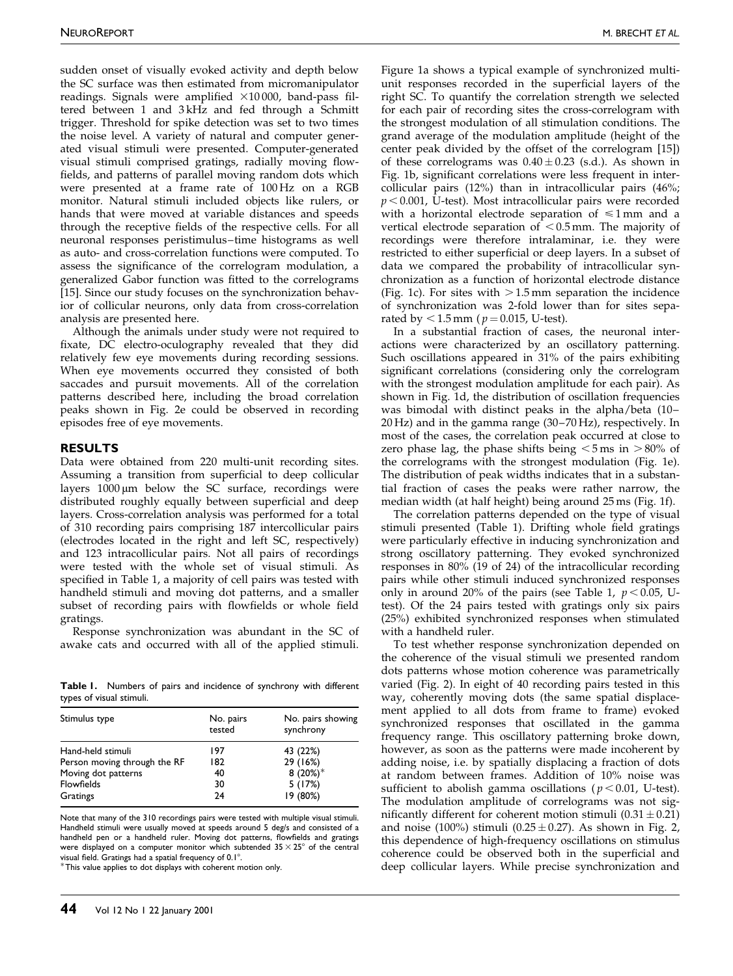sudden onset of visually evoked activity and depth below the SC surface was then estimated from micromanipulator readings. Signals were amplified  $\times 10\,000$ , band-pass filtered between 1 and 3 kHz and fed through a Schmitt trigger. Threshold for spike detection was set to two times the noise level. A variety of natural and computer generated visual stimuli were presented. Computer-generated visual stimuli comprised gratings, radially moving flowfields, and patterns of parallel moving random dots which were presented at a frame rate of 100 Hz on a RGB monitor. Natural stimuli included objects like rulers, or hands that were moved at variable distances and speeds through the receptive fields of the respective cells. For all neuronal responses peristimulus-time histograms as well as auto- and cross-correlation functions were computed. To assess the significance of the correlogram modulation, a generalized Gabor function was fitted to the correlograms [\[15\].](#page-4-0) Since our study focuses on the synchronization behavior of collicular neurons, only data from cross-correlation analysis are presented here.

Although the animals under study were not required to fixate, DC electro-oculography revealed that they did relatively few eye movements during recording sessions. When eye movements occurred they consisted of both saccades and pursuit movements. All of the correlation patterns described here, including the broad correlation peaks shown in Fig. [2e](#page-3-0) could be observed in recording episodes free of eye movements.

#### RESULTS

Data were obtained from 220 multi-unit recording sites. Assuming a transition from superficial to deep collicular layers  $1000 \mu m$  below the SC surface, recordings were distributed roughly equally between superficial and deep layers. Cross-correlation analysis was performed for a total of 310 recording pairs comprising 187 intercollicular pairs (electrodes located in the right and left SC, respectively) and 123 intracollicular pairs. Not all pairs of recordings were tested with the whole set of visual stimuli. As specified in Table 1, a majority of cell pairs was tested with handheld stimuli and moving dot patterns, and a smaller subset of recording pairs with flowfields or whole field gratings.

Response synchronization was abundant in the SC of awake cats and occurred with all of the applied stimuli.

Table I. Numbers of pairs and incidence of synchrony with different types of visual stimuli.

| Stimulus type                | No. pairs<br>tested | No. pairs showing<br>synchrony |
|------------------------------|---------------------|--------------------------------|
| Hand-held stimuli            | 197                 | 43 (22%)                       |
| Person moving through the RF | 182                 | 29 (16%)                       |
| Moving dot patterns          | 40                  | 8 $(20\%)^*$                   |
| <b>Flowfields</b>            | 30                  | 5(17%)                         |
| Gratings                     | 24                  | 19 (80%)                       |
|                              |                     |                                |

Note that many of the 310 recordings pairs were tested with multiple visual stimuli. Handheld stimuli were usually moved at speeds around 5 deg/s and consisted of a handheld pen or a handheld ruler. Moving dot patterns, flowfields and gratings were displayed on a computer monitor which subtended  $35 \times 25^{\circ}$  of the central visual field. Gratings had a spatial frequency of  $0.1^{\circ}$ .

This value applies to dot displays with coherent motion only.

Figure [1a](#page-2-0) shows a typical example of synchronized multiunit responses recorded in the superficial layers of the right SC. To quantify the correlation strength we selected for each pair of recording sites the cross-correlogram with the strongest modulation of all stimulation conditions. The grand average of the modulation amplitude (height of the center peak divided by the offset of the correlogram [\[15\]\)](#page-4-0) of these correlograms was  $0.40 \pm 0.23$  (s.d.). As shown in Fig. [1b](#page-2-0), significant correlations were less frequent in intercollicular pairs (12%) than in intracollicular pairs (46%;  $p < 0.001$ , U-test). Most intracollicular pairs were recorded with a horizontal electrode separation of  $\leq 1$  mm and a vertical electrode separation of  $< 0.5$  mm. The majority of recordings were therefore intralaminar, i.e. they were restricted to either superficial or deep layers. In a subset of data we compared the probability of intracollicular synchronization as a function of horizontal electrode distance (Fig. [1c](#page-2-0)). For sites with  $> 1.5$  mm separation the incidence of synchronization was 2-fold lower than for sites separated by  $< 1.5$  mm (  $p = 0.015$ , U-test).

In a substantial fraction of cases, the neuronal interactions were characterized by an oscillatory patterning. Such oscillations appeared in 31% of the pairs exhibiting significant correlations (considering only the correlogram with the strongest modulation amplitude for each pair). As shown in Fig. [1d](#page-2-0), the distribution of oscillation frequencies was bimodal with distinct peaks in the alpha/beta (10- $20$  Hz) and in the gamma range  $(30-70$  Hz), respectively. In most of the cases, the correlation peak occurred at close to zero phase lag, the phase shifts being  $\lt 5$  ms in  $>80\%$  of the correlograms with the strongest modulation (Fig. [1e](#page-2-0)). The distribution of peak widths indicates that in a substantial fraction of cases the peaks were rather narrow, the median width (at half height) being around 25 ms (Fig[. 1f\)](#page-2-0).

The correlation patterns depended on the type of visual stimuli presented (Table 1). Drifting whole field gratings were particularly effective in inducing synchronization and strong oscillatory patterning. They evoked synchronized responses in 80% (19 of 24) of the intracollicular recording pairs while other stimuli induced synchronized responses only in around 20% of the pairs (see Table 1,  $p < 0.05$ , Utest). Of the 24 pairs tested with gratings only six pairs (25%) exhibited synchronized responses when stimulated with a handheld ruler.

To test whether response synchronization depended on the coherence of the visual stimuli we presented random dots patterns whose motion coherence was parametrically varied (Fig. [2\).](#page-3-0) In eight of 40 recording pairs tested in this way, coherently moving dots (the same spatial displacement applied to all dots from frame to frame) evoked synchronized responses that oscillated in the gamma frequency range. This oscillatory patterning broke down, however, as soon as the patterns were made incoherent by adding noise, i.e. by spatially displacing a fraction of dots at random between frames. Addition of 10% noise was sufficient to abolish gamma oscillations ( $p < 0.01$ , U-test). The modulation amplitude of correlograms was not significantly different for coherent motion stimuli  $(0.31 \pm 0.21)$ and noise (100%) stimuli (0.25  $\pm$  0.27). As shown in Fig. [2,](#page-3-0) this dependence of high-frequency oscillations on stimulus coherence could be observed both in the superficial and deep collicular layers. While precise synchronization and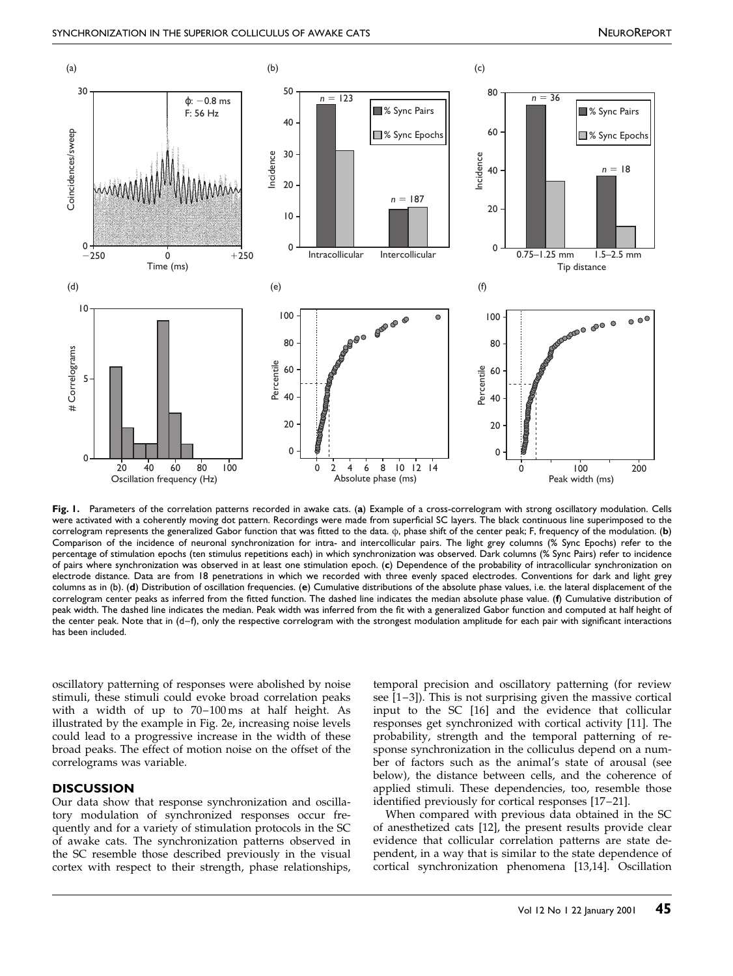<span id="page-2-0"></span>

Fig. 1. Parameters of the correlation patterns recorded in awake cats. (a) Example of a cross-correlogram with strong oscillatory modulation. Cells were activated with a coherently moving dot pattern. Recordings were made from superficial SC layers. The black continuous line superimposed to the correlogram represents the generalized Gabor function that was fitted to the data.  $\varphi$ , phase shift of the center peak; F, frequency of the modulation. (b) Comparison of the incidence of neuronal synchronization for intra- and intercollicular pairs. The light grey columns (% Sync Epochs) refer to the percentage of stimulation epochs (ten stimulus repetitions each) in which synchronization was observed. Dark columns (% Sync Pairs) refer to incidence of pairs where synchronization was observed in at least one stimulation epoch. (c) Dependence of the probability of intracollicular synchronization on electrode distance. Data are from 18 penetrations in which we recorded with three evenly spaced electrodes. Conventions for dark and light grey columns as in (b). (d) Distribution of oscillation frequencies. (e) Cumulative distributions of the absolute phase values, i.e. the lateral displacement of the correlogram center peaks as inferred from the fitted function. The dashed line indicates the median absolute phase value. (f) Cumulative distribution of peak width. The dashed line indicates the median. Peak width was inferred from the fit with a generalized Gabor function and computed at half height of the center peak. Note that in (d-f), only the respective correlogram with the strongest modulation amplitude for each pair with significant interactions has been included.

oscillatory patterning of responses were abolished by noise stimuli, these stimuli could evoke broad correlation peaks with a width of up to  $70-100 \text{ ms}$  at half height. As illustrated by the example in Fig. [2e](#page-3-0), increasing noise levels could lead to a progressive increase in the width of these broad peaks. The effect of motion noise on the offset of the correlograms was variable.

## **DISCUSSION**

Our data show that response synchronization and oscillatory modulation of synchronized responses occur frequently and for a variety of stimulation protocols in the SC of awake cats. The synchronization patterns observed in the SC resemble those described previously in the visual cortex with respect to their strength, phase relationships, temporal precision and oscillatory patterning (for review see  $[1-3]$ ). This is not surprising given the massive cortical input to the SC [\[16\]](#page-4-0) and the evidence that collicular responses get synchronized with cortical activity [\[11\].](#page-4-0) The probability, strength and the temporal patterning of response synchronization in the colliculus depend on a number of factors such as the animal's state of arousal (see below), the distance between cells, and the coherence of applied stimuli. These dependencies, too, resemble those identified previously for cortical responses [17-21].

When compared with previous data obtained in the SC of anesthetized cats [\[12\],](#page-4-0) the present results provide clear evidence that collicular correlation patterns are state dependent, in a way that is similar to the state dependence of cortical synchronization phenomena [\[13,14\].](#page-4-0) Oscillation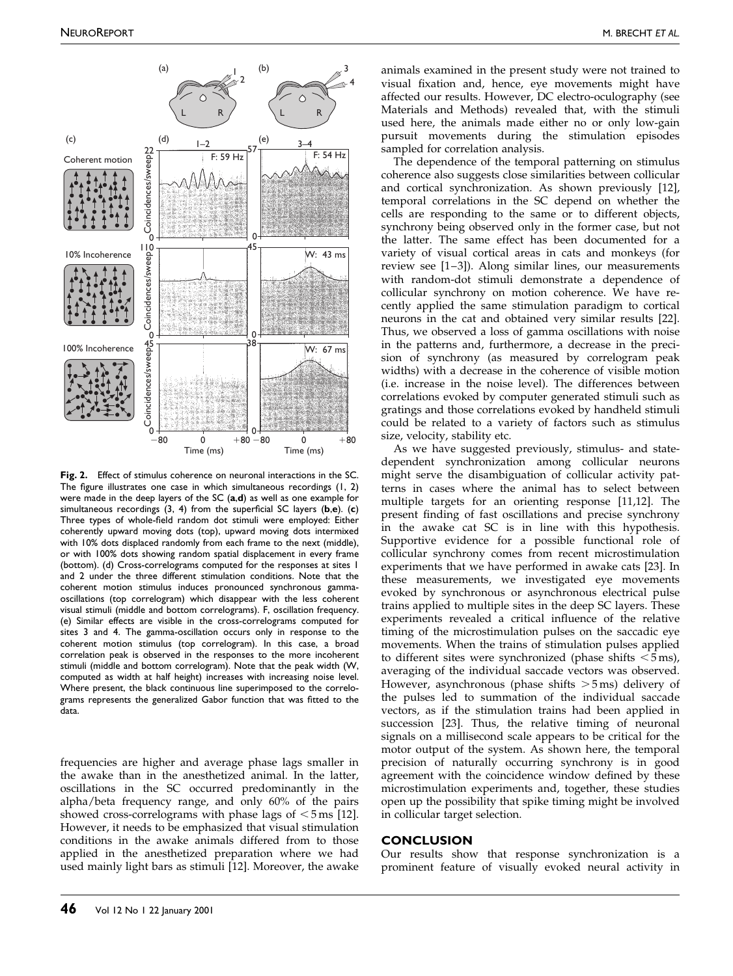<span id="page-3-0"></span>

Fig. 2. Effect of stimulus coherence on neuronal interactions in the SC. The figure illustrates one case in which simultaneous recordings  $(1, 2)$ were made in the deep layers of the SC (a,d) as well as one example for simultaneous recordings  $(3, 4)$  from the superficial SC layers  $(b,e)$ .  $(c)$ Three types of whole-field random dot stimuli were employed: Either coherently upward moving dots (top), upward moving dots intermixed with 10% dots displaced randomly from each frame to the next (middle), or with 100% dots showing random spatial displacement in every frame (bottom). (d) Cross-correlograms computed for the responses at sites 1 and 2 under the three different stimulation conditions. Note that the coherent motion stimulus induces pronounced synchronous gammaoscillations (top correlogram) which disappear with the less coherent visual stimuli (middle and bottom correlograms). F, oscillation frequency. (e) Similar effects are visible in the cross-correlograms computed for sites 3 and 4. The gamma-oscillation occurs only in response to the coherent motion stimulus (top correlogram). In this case, a broad correlation peak is observed in the responses to the more incoherent stimuli (middle and bottom correlogram). Note that the peak width (W, computed as width at half height) increases with increasing noise level. Where present, the black continuous line superimposed to the correlograms represents the generalized Gabor function that was fitted to the data.

frequencies are higher and average phase lags smaller in the awake than in the anesthetized animal. In the latter, oscillations in the SC occurred predominantly in the alpha/beta frequency range, and only 60% of the pairs showed cross-correlograms with phase lags of  $\leq$  5 ms [\[12\].](#page-4-0) However, it needs to be emphasized that visual stimulation conditions in the awake animals differed from to those applied in the anesthetized preparation where we had used mainly light bars as stimuli [\[12\].](#page-4-0) Moreover, the awake animals examined in the present study were not trained to visual fixation and, hence, eye movements might have affected our results. However, DC electro-oculography (see Materials and Methods) revealed that, with the stimuli used here, the animals made either no or only low-gain pursuit movements during the stimulation episodes sampled for correlation analysis.

The dependence of the temporal patterning on stimulus coherence also suggests close similarities between collicular and cortical synchronization. As shown previously [\[12\],](#page-4-0) temporal correlations in the SC depend on whether the cells are responding to the same or to different objects, synchrony being observed only in the former case, but not the latter. The same effect has been documented for a variety of visual cortical areas in cats and monkeys (for review see [1-3]). Along similar lines, our measurements with random-dot stimuli demonstrate a dependence of collicular synchrony on motion coherence. We have recently applied the same stimulation paradigm to cortical neurons in the cat and obtained very similar results [\[22\].](#page-4-0) Thus, we observed a loss of gamma oscillations with noise in the patterns and, furthermore, a decrease in the precision of synchrony (as measured by correlogram peak widths) with a decrease in the coherence of visible motion (i.e. increase in the noise level). The differences between correlations evoked by computer generated stimuli such as gratings and those correlations evoked by handheld stimuli could be related to a variety of factors such as stimulus size, velocity, stability etc.

As we have suggested previously, stimulus- and statedependent synchronization among collicular neurons might serve the disambiguation of collicular activity patterns in cases where the animal has to select between multiple targets for an orienting response [\[11,12\].](#page-4-0) The present finding of fast oscillations and precise synchrony in the awake cat SC is in line with this hypothesis. Supportive evidence for a possible functional role of collicular synchrony comes from recent microstimulation experiments that we have performed in awake cats [\[23\].](#page-4-0) In these measurements, we investigated eye movements evoked by synchronous or asynchronous electrical pulse trains applied to multiple sites in the deep SC layers. These experiments revealed a critical influence of the relative timing of the microstimulation pulses on the saccadic eye movements. When the trains of stimulation pulses applied to different sites were synchronized (phase shifts  $<$  5 ms), averaging of the individual saccade vectors was observed. However, asynchronous (phase shifts  $>5$  ms) delivery of the pulses led to summation of the individual saccade vectors, as if the stimulation trains had been applied in succession [\[23\].](#page-4-0) Thus, the relative timing of neuronal signals on a millisecond scale appears to be critical for the motor output of the system. As shown here, the temporal precision of naturally occurring synchrony is in good agreement with the coincidence window defined by these microstimulation experiments and, together, these studies open up the possibility that spike timing might be involved in collicular target selection.

#### **CONCLUSION**

Our results show that response synchronization is a prominent feature of visually evoked neural activity in